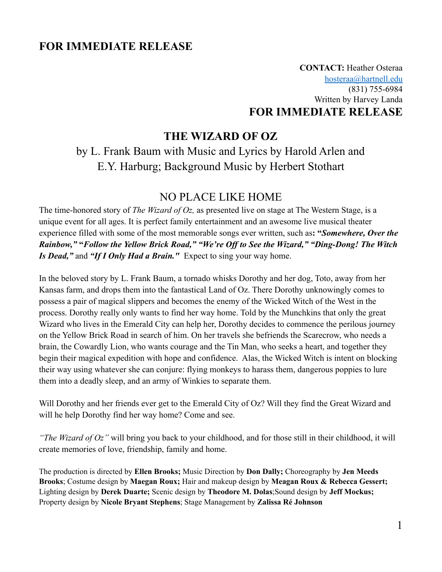# **FOR IMMEDIATE RELEASE**

**CONTACT:** Heather Osteraa [hosteraa@hartnell.edu](mailto:hosteraa@hartnell.edu) (831) 755-6984 Written by Harvey Landa **FOR IMMEDIATE RELEASE**

## **THE WIZARD OF OZ**

by L. Frank Baum with Music and Lyrics by Harold Arlen and E.Y. Harburg; Background Music by Herbert Stothart

# NO PLACE LIKE HOME

The time-honored story of *The Wizard of Oz,* as presented live on stage at The Western Stage, is a unique event for all ages. It is perfect family entertainment and an awesome live musical theater experience filled with some of the most memorable songs ever written, such as**: "***Somewhere, Over the Rainbow,"* **"***Follow the Yellow Brick Road," "We're Off to See the Wizard," "Ding-Dong! The Witch Is Dead,"* and *"If I Only Had a Brain."* Expect to sing your way home.

In the beloved story by L. Frank Baum, a tornado whisks Dorothy and her dog, Toto, away from her Kansas farm, and drops them into the fantastical Land of Oz. There Dorothy unknowingly comes to possess a pair of magical slippers and becomes the enemy of the Wicked Witch of the West in the process. Dorothy really only wants to find her way home. Told by the Munchkins that only the great Wizard who lives in the Emerald City can help her, Dorothy decides to commence the perilous journey on the Yellow Brick Road in search of him. On her travels she befriends the Scarecrow, who needs a brain, the Cowardly Lion, who wants courage and the Tin Man, who seeks a heart, and together they begin their magical expedition with hope and confidence. Alas, the Wicked Witch is intent on blocking their way using whatever she can conjure: flying monkeys to harass them, dangerous poppies to lure them into a deadly sleep, and an army of Winkies to separate them.

Will Dorothy and her friends ever get to the Emerald City of Oz? Will they find the Great Wizard and will he help Dorothy find her way home? Come and see.

*"The Wizard of Oz"* will bring you back to your childhood, and for those still in their childhood, it will create memories of love, friendship, family and home.

The production is directed by **Ellen Brooks;** Music Direction by **Don Dally;** Choreography by **Jen Meeds Brooks**; Costume design by **Maegan Roux;** Hair and makeup design by **Meagan Roux & Rebecca Gessert;** Lighting design by **Derek Duarte;** Scenic design by **Theodore M. Dolas**;Sound design by **Jeff Mockus;** Property design by **Nicole Bryant Stephens**; Stage Management by **Zalissa Ré Johnson**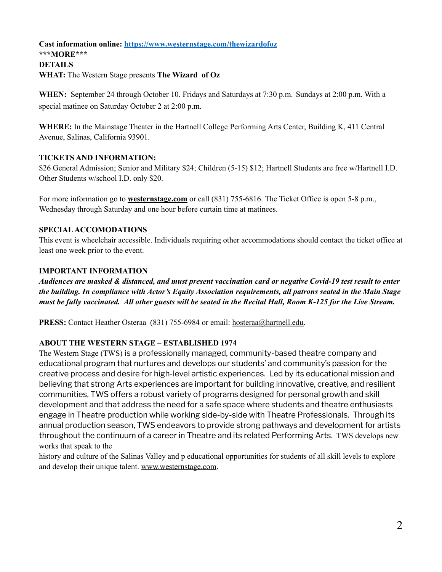### **Cast information online: <https://www.westernstage.com/thewizardofoz> \*\*\*MORE\*\*\* DETAILS WHAT:** The Western Stage presents **The Wizard of Oz**

**WHEN:** September 24 through October 10. Fridays and Saturdays at 7:30 p.m. Sundays at 2:00 p.m. With a special matinee on Saturday October 2 at 2:00 p.m.

**WHERE:** In the Mainstage Theater in the Hartnell College Performing Arts Center, Building K, 411 Central Avenue, Salinas, California 93901.

#### **TICKETS AND INFORMATION:**

\$26 General Admission; Senior and Military \$24; Children (5-15) \$12; Hartnell Students are free w/Hartnell I.D. Other Students w/school I.D. only \$20.

For more information go to **westernstage.com** or call (831) 755-6816. The Ticket Office is open 5-8 p.m., Wednesday through Saturday and one hour before curtain time at matinees.

#### **SPECIALACCOMODATIONS**

This event is wheelchair accessible. Individuals requiring other accommodations should contact the ticket office at least one week prior to the event.

#### **IMPORTANT INFORMATION**

Audiences are masked & distanced, and must present vaccination card or negative Covid-19 test result to enter *the building. In compliance with Actor's Equity Association requirements, all patrons seated in the Main Stage* must be fully vaccinated. All other guests will be seated in the Recital Hall, Room K-125 for the Live Stream.

**PRESS:** Contact Heather Osteraa (831) 755-6984 or email: [hosteraa@hartnell.edu.](mailto:hosteraa@hartnell.edu)

### **ABOUT THE WESTERN STAGE – ESTABLISHED 1974**

The Western Stage (TWS) is a professionally managed, community-based theatre company and educational program that nurtures and develops our students' and community's passion for the creative process and desire for high-level artistic experiences. Led by its educational mission and believing that strong Arts experiences are important for building innovative, creative, and resilient communities, TWS offers a robust variety of programs designed for personal growth and skill development and that address the need for a safe space where students and theatre enthusiasts engage in Theatre production while working side-by-side with Theatre Professionals. Through its annual production season, TWS endeavors to provide strong pathways and development for artists throughout the continuum of a career in Theatre and its related Performing Arts. TWS develops new works that speak to the

history and culture of the Salinas Valley and p educational opportunities for students of all skill levels to explore and develop their unique talent. [www.westernstage.com.](http://www.westernstage.com)